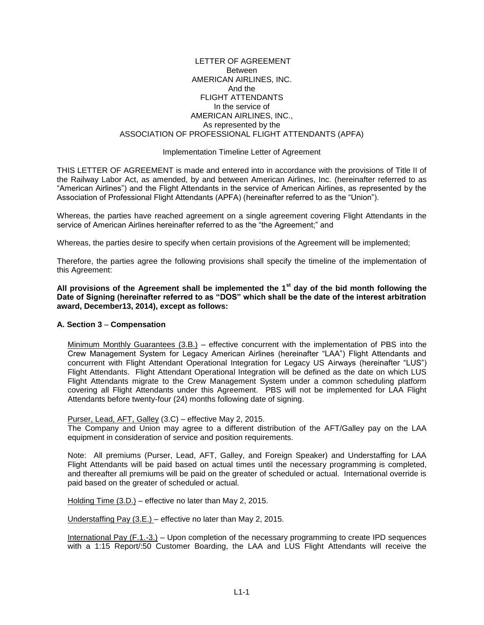## LETTER OF AGREEMENT Between AMERICAN AIRLINES, INC. And the FLIGHT ATTENDANTS In the service of AMERICAN AIRLINES, INC., As represented by the ASSOCIATION OF PROFESSIONAL FLIGHT ATTENDANTS (APFA)

## Implementation Timeline Letter of Agreement

THIS LETTER OF AGREEMENT is made and entered into in accordance with the provisions of Title II of the Railway Labor Act, as amended, by and between American Airlines, Inc. (hereinafter referred to as "American Airlines") and the Flight Attendants in the service of American Airlines, as represented by the Association of Professional Flight Attendants (APFA) (hereinafter referred to as the "Union").

Whereas, the parties have reached agreement on a single agreement covering Flight Attendants in the service of American Airlines hereinafter referred to as the "the Agreement;" and

Whereas, the parties desire to specify when certain provisions of the Agreement will be implemented;

Therefore, the parties agree the following provisions shall specify the timeline of the implementation of this Agreement:

**All provisions of the Agreement shall be implemented the 1st day of the bid month following the Date of Signing (hereinafter referred to as "DOS" which shall be the date of the interest arbitration award, December13, 2014), except as follows:** 

## **A. Section 3** – **Compensation**

Minimum Monthly Guarantees (3.B.) – effective concurrent with the implementation of PBS into the Crew Management System for Legacy American Airlines (hereinafter "LAA") Flight Attendants and concurrent with Flight Attendant Operational Integration for Legacy US Airways (hereinafter "LUS") Flight Attendants. Flight Attendant Operational Integration will be defined as the date on which LUS Flight Attendants migrate to the Crew Management System under a common scheduling platform covering all Flight Attendants under this Agreement. PBS will not be implemented for LAA Flight Attendants before twenty-four (24) months following date of signing.

Purser, Lead, AFT, Galley (3.C) – effective May 2, 2015.

The Company and Union may agree to a different distribution of the AFT/Galley pay on the LAA equipment in consideration of service and position requirements.

Note: All premiums (Purser, Lead, AFT, Galley, and Foreign Speaker) and Understaffing for LAA Flight Attendants will be paid based on actual times until the necessary programming is completed, and thereafter all premiums will be paid on the greater of scheduled or actual. International override is paid based on the greater of scheduled or actual.

Holding Time (3.D.) – effective no later than May 2, 2015.

Understaffing Pay (3.E.) – effective no later than May 2, 2015.

International Pay (F.1.-3.) – Upon completion of the necessary programming to create IPD sequences with a 1:15 Report/:50 Customer Boarding, the LAA and LUS Flight Attendants will receive the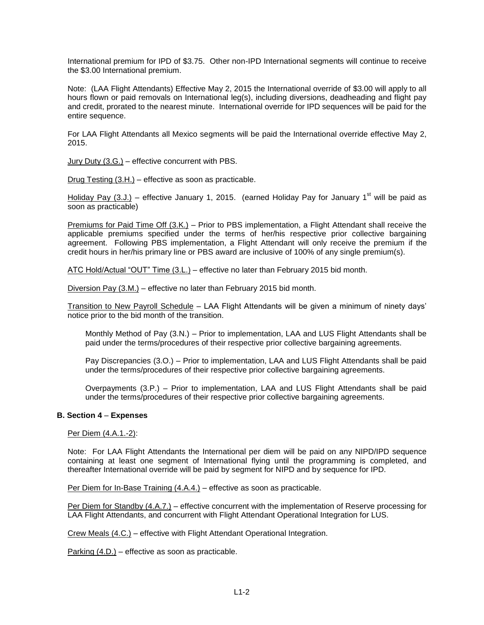International premium for IPD of \$3.75. Other non-IPD International segments will continue to receive the \$3.00 International premium.

Note: (LAA Flight Attendants) Effective May 2, 2015 the International override of \$3.00 will apply to all hours flown or paid removals on International leg(s), including diversions, deadheading and flight pay and credit, prorated to the nearest minute. International override for IPD sequences will be paid for the entire sequence.

For LAA Flight Attendants all Mexico segments will be paid the International override effective May 2, 2015.

Jury Duty (3.G.) – effective concurrent with PBS.

Drug Testing (3.H.) – effective as soon as practicable.

Holiday Pay (3.J.) – effective January 1, 2015. (earned Holiday Pay for January 1<sup>st</sup> will be paid as soon as practicable)

Premiums for Paid Time Off (3.K.) – Prior to PBS implementation, a Flight Attendant shall receive the applicable premiums specified under the terms of her/his respective prior collective bargaining agreement. Following PBS implementation, a Flight Attendant will only receive the premium if the credit hours in her/his primary line or PBS award are inclusive of 100% of any single premium(s).

ATC Hold/Actual "OUT" Time (3.L.) – effective no later than February 2015 bid month.

Diversion Pay (3.M.) – effective no later than February 2015 bid month.

Transition to New Payroll Schedule – LAA Flight Attendants will be given a minimum of ninety days' notice prior to the bid month of the transition.

Monthly Method of Pay (3.N.) – Prior to implementation, LAA and LUS Flight Attendants shall be paid under the terms/procedures of their respective prior collective bargaining agreements.

Pay Discrepancies (3.O.) – Prior to implementation, LAA and LUS Flight Attendants shall be paid under the terms/procedures of their respective prior collective bargaining agreements.

Overpayments (3.P.) – Prior to implementation, LAA and LUS Flight Attendants shall be paid under the terms/procedures of their respective prior collective bargaining agreements.

## **B. Section 4** – **Expenses**

Per Diem (4.A.1.-2):

Note: For LAA Flight Attendants the International per diem will be paid on any NIPD/IPD sequence containing at least one segment of International flying until the programming is completed, and thereafter International override will be paid by segment for NIPD and by sequence for IPD.

Per Diem for In-Base Training (4.A.4.) – effective as soon as practicable.

Per Diem for Standby (4.A.7.) – effective concurrent with the implementation of Reserve processing for LAA Flight Attendants, and concurrent with Flight Attendant Operational Integration for LUS.

Crew Meals (4.C.) – effective with Flight Attendant Operational Integration.

Parking (4.D.) – effective as soon as practicable.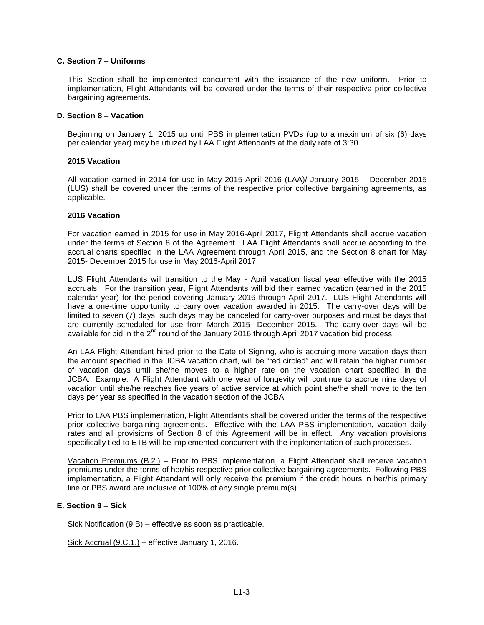## **C. Section 7 – Uniforms**

This Section shall be implemented concurrent with the issuance of the new uniform. Prior to implementation, Flight Attendants will be covered under the terms of their respective prior collective bargaining agreements.

### **D. Section 8** – **Vacation**

Beginning on January 1, 2015 up until PBS implementation PVDs (up to a maximum of six (6) days per calendar year) may be utilized by LAA Flight Attendants at the daily rate of 3:30.

### **2015 Vacation**

All vacation earned in 2014 for use in May 2015-April 2016 (LAA)/ January 2015 – December 2015 (LUS) shall be covered under the terms of the respective prior collective bargaining agreements, as applicable.

### **2016 Vacation**

For vacation earned in 2015 for use in May 2016-April 2017, Flight Attendants shall accrue vacation under the terms of Section 8 of the Agreement. LAA Flight Attendants shall accrue according to the accrual charts specified in the LAA Agreement through April 2015, and the Section 8 chart for May 2015- December 2015 for use in May 2016-April 2017.

LUS Flight Attendants will transition to the May - April vacation fiscal year effective with the 2015 accruals. For the transition year, Flight Attendants will bid their earned vacation (earned in the 2015 calendar year) for the period covering January 2016 through April 2017. LUS Flight Attendants will have a one-time opportunity to carry over vacation awarded in 2015. The carry-over days will be limited to seven (7) days; such days may be canceled for carry-over purposes and must be days that are currently scheduled for use from March 2015- December 2015. The carry-over days will be available for bid in the 2<sup>nd</sup> round of the January 2016 through April 2017 vacation bid process.

An LAA Flight Attendant hired prior to the Date of Signing, who is accruing more vacation days than the amount specified in the JCBA vacation chart, will be "red circled" and will retain the higher number of vacation days until she/he moves to a higher rate on the vacation chart specified in the JCBA. Example: A Flight Attendant with one year of longevity will continue to accrue nine days of vacation until she/he reaches five years of active service at which point she/he shall move to the ten days per year as specified in the vacation section of the JCBA.

Prior to LAA PBS implementation, Flight Attendants shall be covered under the terms of the respective prior collective bargaining agreements. Effective with the LAA PBS implementation, vacation daily rates and all provisions of Section 8 of this Agreement will be in effect. Any vacation provisions specifically tied to ETB will be implemented concurrent with the implementation of such processes.

Vacation Premiums (B.2.) – Prior to PBS implementation, a Flight Attendant shall receive vacation premiums under the terms of her/his respective prior collective bargaining agreements. Following PBS implementation, a Flight Attendant will only receive the premium if the credit hours in her/his primary line or PBS award are inclusive of 100% of any single premium(s).

## **E. Section 9** – **Sick**

Sick Notification (9.B) – effective as soon as practicable.

Sick Accrual (9.C.1.) – effective January 1, 2016.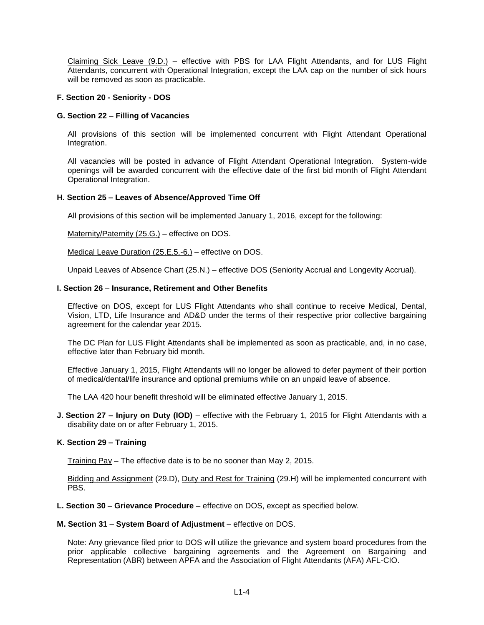Claiming Sick Leave (9.D.) – effective with PBS for LAA Flight Attendants, and for LUS Flight Attendants, concurrent with Operational Integration, except the LAA cap on the number of sick hours will be removed as soon as practicable.

## **F. Section 20 - Seniority - DOS**

## **G. Section 22** – **Filling of Vacancies**

All provisions of this section will be implemented concurrent with Flight Attendant Operational Integration.

All vacancies will be posted in advance of Flight Attendant Operational Integration. System-wide openings will be awarded concurrent with the effective date of the first bid month of Flight Attendant Operational Integration.

# **H. Section 25 – Leaves of Absence/Approved Time Off**

All provisions of this section will be implemented January 1, 2016, except for the following:

Maternity/Paternity (25.G.) – effective on DOS.

Medical Leave Duration (25.E.5.-6.) – effective on DOS.

Unpaid Leaves of Absence Chart (25.N.) – effective DOS (Seniority Accrual and Longevity Accrual).

## **I. Section 26** – **Insurance, Retirement and Other Benefits**

Effective on DOS, except for LUS Flight Attendants who shall continue to receive Medical, Dental, Vision, LTD, Life Insurance and AD&D under the terms of their respective prior collective bargaining agreement for the calendar year 2015.

The DC Plan for LUS Flight Attendants shall be implemented as soon as practicable, and, in no case, effective later than February bid month.

Effective January 1, 2015, Flight Attendants will no longer be allowed to defer payment of their portion of medical/dental/life insurance and optional premiums while on an unpaid leave of absence.

The LAA 420 hour benefit threshold will be eliminated effective January 1, 2015.

**J. Section 27 – Injury on Duty (IOD)** – effective with the February 1, 2015 for Flight Attendants with a disability date on or after February 1, 2015.

## **K. Section 29 – Training**

Training Pay – The effective date is to be no sooner than May 2, 2015.

Bidding and Assignment (29.D), Duty and Rest for Training (29.H) will be implemented concurrent with PBS.

- **L. Section 30 Grievance Procedure**  effective on DOS, except as specified below.
- **M. Section 31 System Board of Adjustment**  effective on DOS.

Note: Any grievance filed prior to DOS will utilize the grievance and system board procedures from the prior applicable collective bargaining agreements and the Agreement on Bargaining and Representation (ABR) between APFA and the Association of Flight Attendants (AFA) AFL-CIO.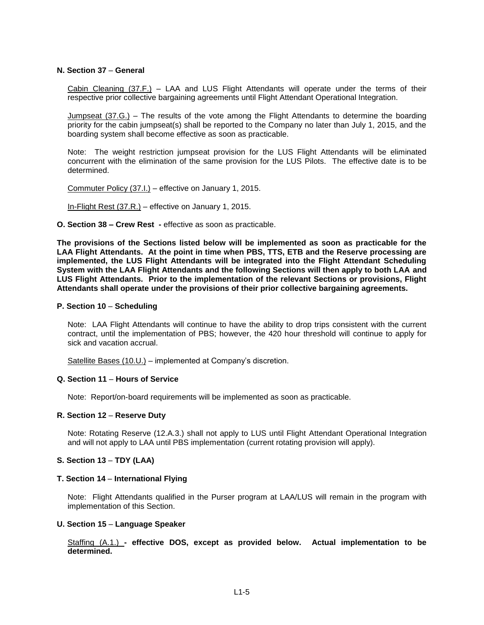### **N. Section 37** – **General**

Cabin Cleaning (37.F.) – LAA and LUS Flight Attendants will operate under the terms of their respective prior collective bargaining agreements until Flight Attendant Operational Integration.

Jumpseat (37.G.) – The results of the vote among the Flight Attendants to determine the boarding priority for the cabin jumpseat(s) shall be reported to the Company no later than July 1, 2015, and the boarding system shall become effective as soon as practicable.

Note: The weight restriction jumpseat provision for the LUS Flight Attendants will be eliminated concurrent with the elimination of the same provision for the LUS Pilots. The effective date is to be determined.

Commuter Policy (37.I.) – effective on January 1, 2015.

In-Flight Rest (37.R.) - effective on January 1, 2015.

**O. Section 38 – Crew Rest -** effective as soon as practicable.

**The provisions of the Sections listed below will be implemented as soon as practicable for the LAA Flight Attendants. At the point in time when PBS, TTS, ETB and the Reserve processing are implemented, the LUS Flight Attendants will be integrated into the Flight Attendant Scheduling System with the LAA Flight Attendants and the following Sections will then apply to both LAA and LUS Flight Attendants. Prior to the implementation of the relevant Sections or provisions, Flight Attendants shall operate under the provisions of their prior collective bargaining agreements.** 

#### **P. Section 10** – **Scheduling**

Note: LAA Flight Attendants will continue to have the ability to drop trips consistent with the current contract, until the implementation of PBS; however, the 420 hour threshold will continue to apply for sick and vacation accrual.

Satellite Bases (10.U.) – implemented at Company's discretion.

#### **Q. Section 11** – **Hours of Service**

Note: Report/on-board requirements will be implemented as soon as practicable.

# **R. Section 12** – **Reserve Duty**

Note: Rotating Reserve (12.A.3.) shall not apply to LUS until Flight Attendant Operational Integration and will not apply to LAA until PBS implementation (current rotating provision will apply).

### **S. Section 13** – **TDY (LAA)**

#### **T. Section 14** – **International Flying**

Note: Flight Attendants qualified in the Purser program at LAA/LUS will remain in the program with implementation of this Section.

### **U. Section 15** – **Language Speaker**

Staffing (A.1.) **- effective DOS, except as provided below. Actual implementation to be determined.**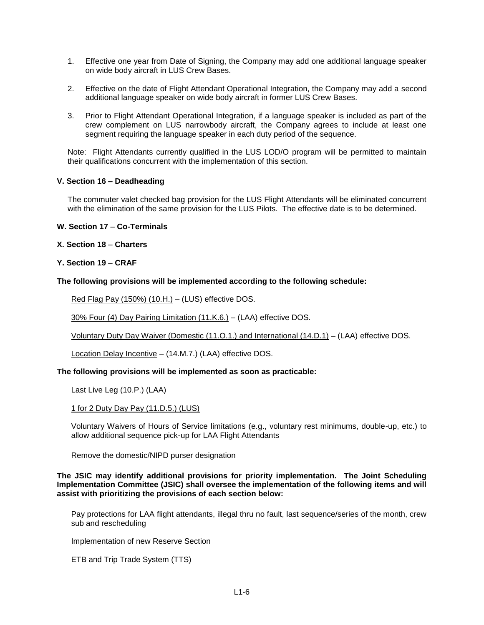- 1. Effective one year from Date of Signing, the Company may add one additional language speaker on wide body aircraft in LUS Crew Bases.
- 2. Effective on the date of Flight Attendant Operational Integration, the Company may add a second additional language speaker on wide body aircraft in former LUS Crew Bases.
- 3. Prior to Flight Attendant Operational Integration, if a language speaker is included as part of the crew complement on LUS narrowbody aircraft, the Company agrees to include at least one segment requiring the language speaker in each duty period of the sequence.

Note: Flight Attendants currently qualified in the LUS LOD/O program will be permitted to maintain their qualifications concurrent with the implementation of this section.

## **V. Section 16 – Deadheading**

The commuter valet checked bag provision for the LUS Flight Attendants will be eliminated concurrent with the elimination of the same provision for the LUS Pilots. The effective date is to be determined.

## **W. Section 17** – **Co-Terminals**

**X. Section 18** – **Charters**

# **Y. Section 19** – **CRAF**

## **The following provisions will be implemented according to the following schedule:**

Red Flag Pay (150%) (10.H.) - (LUS) effective DOS.

30% Four (4) Day Pairing Limitation (11.K.6.) – (LAA) effective DOS.

Voluntary Duty Day Waiver (Domestic (11.O.1.) and International (14.D.1) – (LAA) effective DOS.

Location Delay Incentive – (14.M.7.) (LAA) effective DOS.

## **The following provisions will be implemented as soon as practicable:**

Last Live Leg (10.P.) (LAA)

## 1 for 2 Duty Day Pay (11.D.5.) (LUS)

Voluntary Waivers of Hours of Service limitations (e.g., voluntary rest minimums, double-up, etc.) to allow additional sequence pick-up for LAA Flight Attendants

Remove the domestic/NIPD purser designation

## **The JSIC may identify additional provisions for priority implementation. The Joint Scheduling Implementation Committee (JSIC) shall oversee the implementation of the following items and will assist with prioritizing the provisions of each section below:**

Pay protections for LAA flight attendants, illegal thru no fault, last sequence/series of the month, crew sub and rescheduling

Implementation of new Reserve Section

ETB and Trip Trade System (TTS)